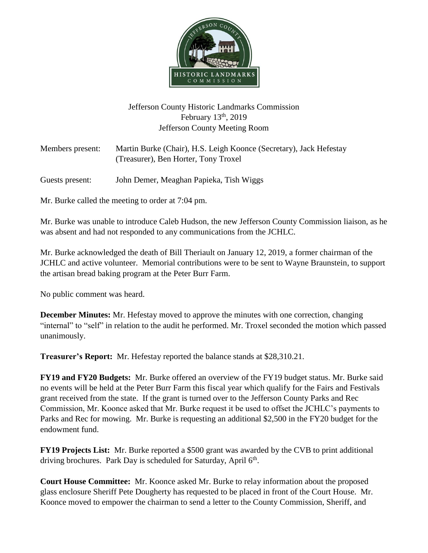

## Jefferson County Historic Landmarks Commission February  $13<sup>th</sup>$ , 2019 Jefferson County Meeting Room

| Members present: | Martin Burke (Chair), H.S. Leigh Koonce (Secretary), Jack Hefestay<br>(Treasurer), Ben Horter, Tony Troxel |
|------------------|------------------------------------------------------------------------------------------------------------|
| Guests present:  | John Demer, Meaghan Papieka, Tish Wiggs                                                                    |

Mr. Burke called the meeting to order at 7:04 pm.

Mr. Burke was unable to introduce Caleb Hudson, the new Jefferson County Commission liaison, as he was absent and had not responded to any communications from the JCHLC.

Mr. Burke acknowledged the death of Bill Theriault on January 12, 2019, a former chairman of the JCHLC and active volunteer. Memorial contributions were to be sent to Wayne Braunstein, to support the artisan bread baking program at the Peter Burr Farm.

No public comment was heard.

**December Minutes:** Mr. Hefestay moved to approve the minutes with one correction, changing "internal" to "self" in relation to the audit he performed. Mr. Troxel seconded the motion which passed unanimously.

**Treasurer's Report:** Mr. Hefestay reported the balance stands at \$28,310.21.

**FY19 and FY20 Budgets:** Mr. Burke offered an overview of the FY19 budget status. Mr. Burke said no events will be held at the Peter Burr Farm this fiscal year which qualify for the Fairs and Festivals grant received from the state. If the grant is turned over to the Jefferson County Parks and Rec Commission, Mr. Koonce asked that Mr. Burke request it be used to offset the JCHLC's payments to Parks and Rec for mowing. Mr. Burke is requesting an additional \$2,500 in the FY20 budget for the endowment fund.

**FY19 Projects List:** Mr. Burke reported a \$500 grant was awarded by the CVB to print additional driving brochures. Park Day is scheduled for Saturday, April  $6<sup>th</sup>$ .

**Court House Committee:** Mr. Koonce asked Mr. Burke to relay information about the proposed glass enclosure Sheriff Pete Dougherty has requested to be placed in front of the Court House. Mr. Koonce moved to empower the chairman to send a letter to the County Commission, Sheriff, and